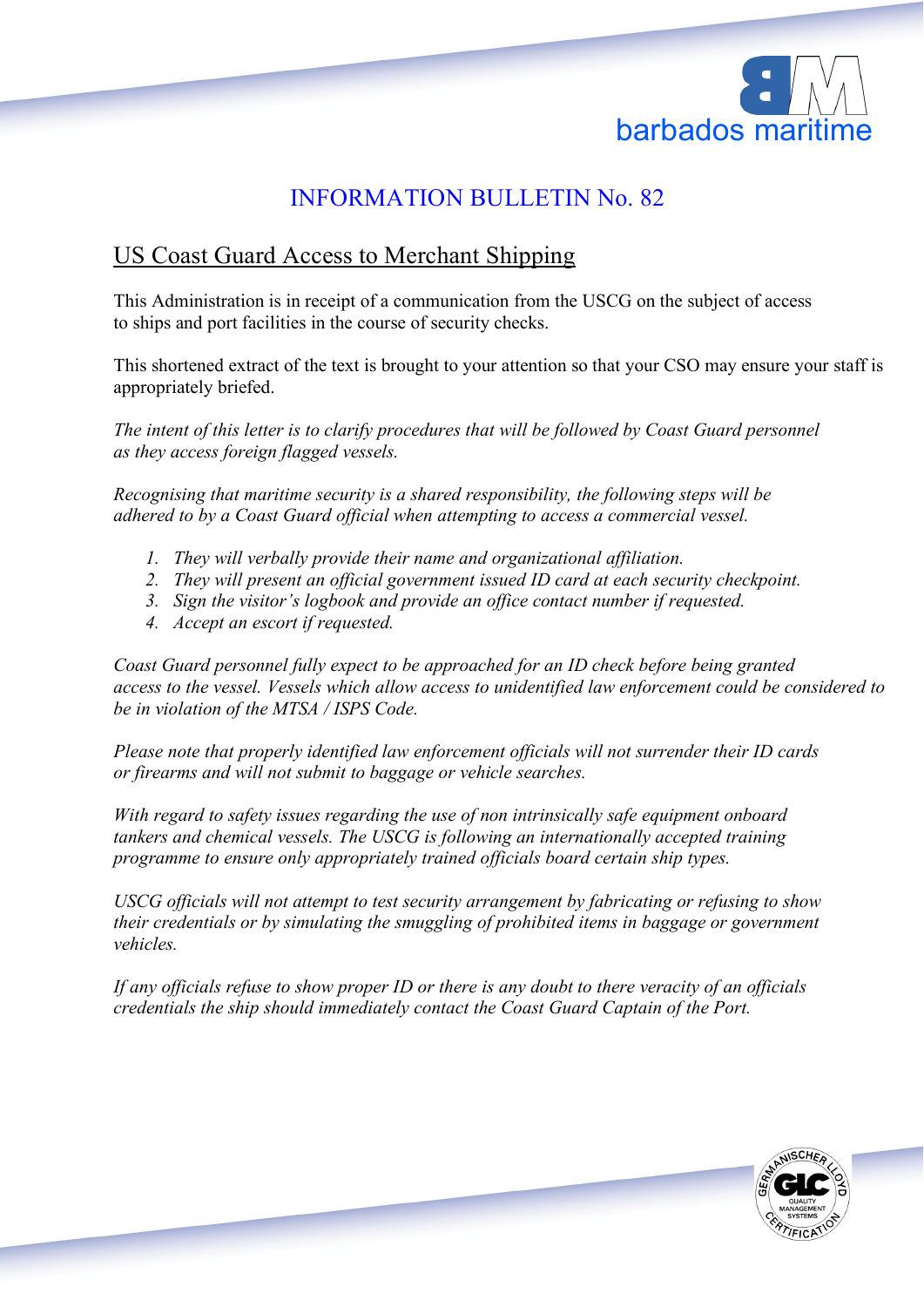

## INFORMATION BULLETIN No. 82

## US Coast Guard Access to Merchant Shipping

This Administration is in receipt of a communication from the USCG on the subject of access to ships and port facilities in the course of security checks.

This shortened extract of the text is brought to your attention so that your CSO may ensure your staff is appropriately briefed.

*The intent of this letter is to clarify procedures that will be followed by Coast Guard personnel as they access foreign flagged vessels.*

*Recognising that maritime security is a shared responsibility, the following steps will be adhered to by a Coast Guard official when attempting to access a commercial vessel.*

- *1. They will verbally provide their name and organizational affiliation.*
- *2. They will present an official government issued ID card at each security checkpoint.*
- *3. Sign the visitor's logbook and provide an office contact number if requested.*
- *4. Accept an escort if requested.*

*Coast Guard personnel fully expect to be approached for an ID check before being granted access to the vessel. Vessels which allow access to unidentified law enforcement could be considered to be in violation of the MTSA / ISPS Code.*

*Please note that properly identified law enforcement officials will not surrender their ID cards or firearms and will not submit to baggage or vehicle searches.*

*With regard to safety issues regarding the use of non intrinsically safe equipment onboard tankers and chemical vessels. The USCG is following an internationally accepted training programme to ensure only appropriately trained officials board certain ship types.*

*USCG officials will not attempt to test security arrangement by fabricating or refusing to show their credentials or by simulating the smuggling of prohibited items in baggage or government vehicles.*

*If any officials refuse to show proper ID or there is any doubt to there veracity of an officials credentials the ship should immediately contact the Coast Guard Captain of the Port.*